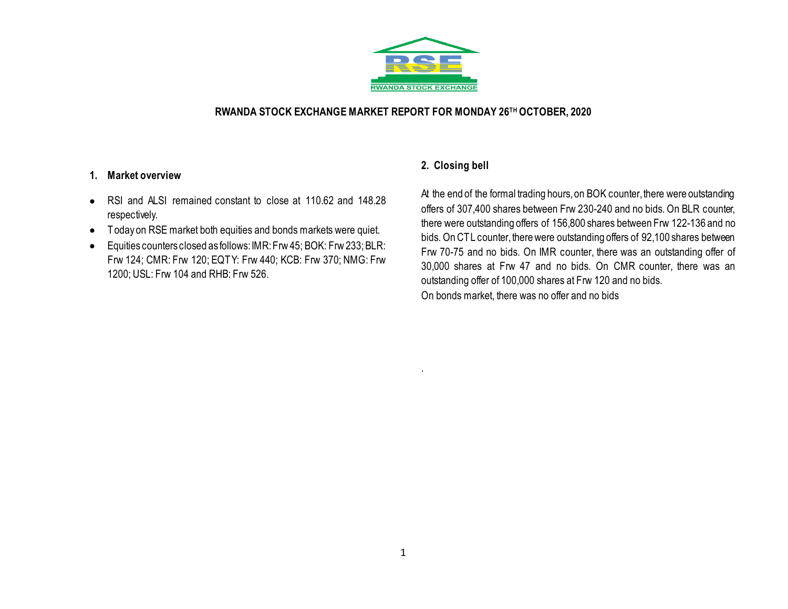

## **RWANDA STOCK EXCHANGE MARKET REPORT FOR MONDAY 26TH OCTOBER, 2020**

### **1. Market overview**

- RSI and ALSI remained constant to close at 110.62 and 148.28 respectively.
- Today on RSE market both equities and bonds markets were quiet.
- Equities counters closed as follows:IMR: Frw 45; BOK: Frw 233; BLR: Frw 124; CMR: Frw 120; EQTY: Frw 440; KCB: Frw 370; NMG: Frw 1200; USL: Frw 104 and RHB: Frw 526.

# **2. Closing bell**

At the end of the formal trading hours, on BOK counter, there were outstanding offers of 307,400 shares between Frw 230-240 and no bids. On BLR counter, there were outstanding offers of 156,800 shares between Frw 122-136 and no bids. On CTL counter, there were outstanding offers of 92,100 shares between Frw 70-75 and no bids. On IMR counter, there was an outstanding offer of 30,000 shares at Frw 47 and no bids. On CMR counter, there was an outstanding offer of 100,000 shares at Frw 120 and no bids. On bonds market, there was no offer and no bids

.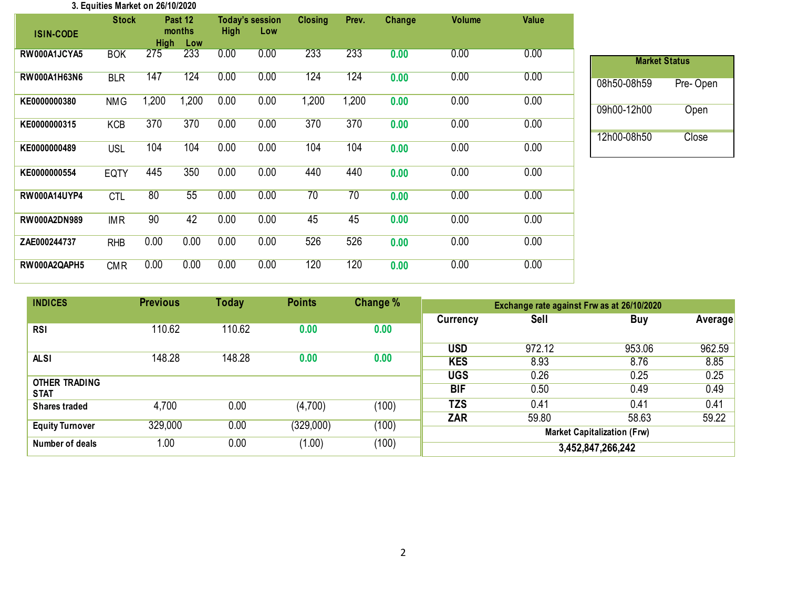#### **3. Equities Market on 26/10/2020**

|                     | <b>Stock</b> |             | Past 12       |             | <b>Today's session</b> | <b>Closing</b> | Prev. | Change | <b>Volume</b> | Value |
|---------------------|--------------|-------------|---------------|-------------|------------------------|----------------|-------|--------|---------------|-------|
| <b>ISIN-CODE</b>    |              | <b>High</b> | months<br>Low | <b>High</b> | Low                    |                |       |        |               |       |
| RW000A1JCYA5        | <b>BOK</b>   | 275         | 233           | 0.00        | 0.00                   | 233            | 233   | 0.00   | 0.00          | 0.00  |
| RW000A1H63N6        | <b>BLR</b>   | 147         | 124           | 0.00        | 0.00                   | 124            | 124   | 0.00   | 0.00          | 0.00  |
| KE0000000380        | <b>NMG</b>   | 1,200       | 1,200         | 0.00        | 0.00                   | 1,200          | 1,200 | 0.00   | 0.00          | 0.00  |
| KE0000000315        | <b>KCB</b>   | 370         | 370           | 0.00        | 0.00                   | 370            | 370   | 0.00   | 0.00          | 0.00  |
| KE0000000489        | <b>USL</b>   | 104         | 104           | 0.00        | 0.00                   | 104            | 104   | 0.00   | 0.00          | 0.00  |
| KE0000000554        | <b>EQTY</b>  | 445         | 350           | 0.00        | 0.00                   | 440            | 440   | 0.00   | 0.00          | 0.00  |
| <b>RW000A14UYP4</b> | <b>CTL</b>   | 80          | 55            | 0.00        | 0.00                   | 70             | 70    | 0.00   | 0.00          | 0.00  |
| <b>RW000A2DN989</b> | <b>IMR</b>   | 90          | 42            | 0.00        | 0.00                   | 45             | 45    | 0.00   | 0.00          | 0.00  |
| ZAE000244737        | <b>RHB</b>   | 0.00        | 0.00          | 0.00        | 0.00                   | 526            | 526   | 0.00   | 0.00          | 0.00  |
| RW000A2QAPH5        | <b>CMR</b>   | 0.00        | 0.00          | 0.00        | 0.00                   | 120            | 120   | 0.00   | 0.00          | 0.00  |

| <b>Market Status</b> |          |
|----------------------|----------|
| 08h50-08h59          | Pre-Open |
| 09h00-12h00          | Open     |
| 12h00-08h50          | Close    |

| <b>INDICES</b>                      | <b>Previous</b> | <b>Today</b> | <b>Points</b> | Change % | Exchange rate against Frw as at 26/10/2020 |        |        |                |  |
|-------------------------------------|-----------------|--------------|---------------|----------|--------------------------------------------|--------|--------|----------------|--|
|                                     |                 |              |               |          | Currency                                   | Sell   | Buy    | <b>Average</b> |  |
| <b>RSI</b>                          | 110.62          | 110.62       | 0.00          | 0.00     |                                            |        |        |                |  |
|                                     |                 |              |               |          | <b>USD</b>                                 | 972.12 | 953.06 | 962.59         |  |
| <b>ALSI</b>                         | 148.28          | 148.28       | 0.00          | 0.00     | <b>KES</b>                                 | 8.93   | 8.76   | 8.85           |  |
|                                     |                 |              |               |          | <b>UGS</b>                                 | 0.26   | 0.25   | 0.25           |  |
| <b>OTHER TRADING</b><br><b>STAT</b> |                 |              |               |          | <b>BIF</b>                                 | 0.50   | 0.49   | 0.49           |  |
| <b>Shares traded</b>                | 4,700           | 0.00         | (4,700)       | (100)    | TZS                                        | 0.41   | 0.41   | 0.41           |  |
|                                     |                 |              |               |          | <b>ZAR</b>                                 | 59.80  | 58.63  | 59.22          |  |
| <b>Equity Turnover</b>              | 329,000         | 0.00         | (329,000)     | (100)    | <b>Market Capitalization (Frw)</b>         |        |        |                |  |
| Number of deals                     | 1.00            | 0.00         | (1.00)        | (100)    | 3,452,847,266,242                          |        |        |                |  |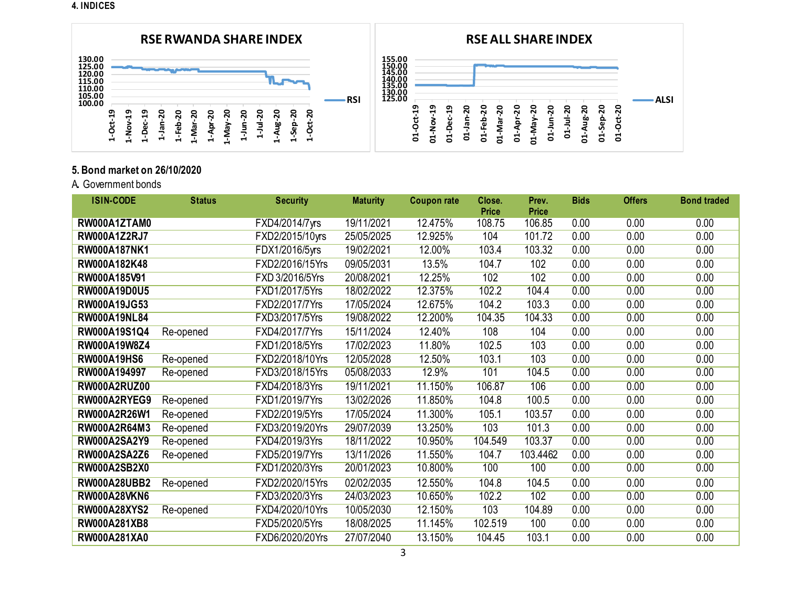**4. INDICES**



# **5. Bond market on 26/10/2020**

A**.** Government bonds

| <b>ISIN-CODE</b>    | <b>Status</b> | <b>Security</b> | <b>Maturity</b> | <b>Coupon rate</b> | Close.                 | Prev.                  | <b>Bids</b> | <b>Offers</b> | <b>Bond traded</b> |
|---------------------|---------------|-----------------|-----------------|--------------------|------------------------|------------------------|-------------|---------------|--------------------|
| RW000A1ZTAM0        |               | FXD4/2014/7yrs  | 19/11/2021      | 12.475%            | <b>Price</b><br>108.75 | <b>Price</b><br>106.85 | 0.00        | 0.00          | 0.00               |
|                     |               |                 | 25/05/2025      | 12.925%            | 104                    | 101.72                 | 0.00        | 0.00          | 0.00               |
| <b>RW000A1Z2RJ7</b> |               | FXD2/2015/10yrs |                 |                    |                        |                        |             |               |                    |
| <b>RW000A187NK1</b> |               | FDX1/2016/5yrs  | 19/02/2021      | 12.00%             | 103.4                  | 103.32                 | 0.00        | 0.00          | 0.00               |
| RW000A182K48        |               | FXD2/2016/15Yrs | 09/05/2031      | 13.5%              | 104.7                  | 102                    | 0.00        | 0.00          | 0.00               |
| RW000A185V91        |               | FXD 3/2016/5Yrs | 20/08/2021      | 12.25%             | 102                    | 102                    | 0.00        | 0.00          | 0.00               |
| <b>RW000A19D0U5</b> |               | FXD1/2017/5Yrs  | 18/02/2022      | 12.375%            | 102.2                  | 104.4                  | 0.00        | 0.00          | 0.00               |
| <b>RW000A19JG53</b> |               | FXD2/2017/7Yrs  | 17/05/2024      | 12.675%            | 104.2                  | 103.3                  | 0.00        | 0.00          | 0.00               |
| <b>RW000A19NL84</b> |               | FXD3/2017/5Yrs  | 19/08/2022      | 12.200%            | 104.35                 | 104.33                 | 0.00        | 0.00          | 0.00               |
| RW000A19S1Q4        | Re-opened     | FXD4/2017/7Yrs  | 15/11/2024      | 12.40%             | 108                    | 104                    | 0.00        | 0.00          | 0.00               |
| RW000A19W8Z4        |               | FXD1/2018/5Yrs  | 17/02/2023      | 11.80%             | 102.5                  | 103                    | 0.00        | 0.00          | 0.00               |
| <b>RW000A19HS6</b>  | Re-opened     | FXD2/2018/10Yrs | 12/05/2028      | 12.50%             | 103.1                  | 103                    | 0.00        | 0.00          | 0.00               |
| RW000A194997        | Re-opened     | FXD3/2018/15Yrs | 05/08/2033      | 12.9%              | 101                    | 104.5                  | 0.00        | 0.00          | 0.00               |
| <b>RW000A2RUZ00</b> |               | FXD4/2018/3Yrs  | 19/11/2021      | 11.150%            | 106.87                 | 106                    | 0.00        | 0.00          | 0.00               |
| RW000A2RYEG9        | Re-opened     | FXD1/2019/7Yrs  | 13/02/2026      | 11.850%            | 104.8                  | 100.5                  | 0.00        | 0.00          | 0.00               |
| RW000A2R26W1        | Re-opened     | FXD2/2019/5Yrs  | 17/05/2024      | 11.300%            | 105.1                  | 103.57                 | 0.00        | 0.00          | 0.00               |
| RW000A2R64M3        | Re-opened     | FXD3/2019/20Yrs | 29/07/2039      | 13.250%            | 103                    | 101.3                  | 0.00        | 0.00          | 0.00               |
| <b>RW000A2SA2Y9</b> | Re-opened     | FXD4/2019/3Yrs  | 18/11/2022      | 10.950%            | 104.549                | 103.37                 | 0.00        | 0.00          | 0.00               |
| <b>RW000A2SA2Z6</b> | Re-opened     | FXD5/2019/7Yrs  | 13/11/2026      | 11.550%            | 104.7                  | 103.4462               | 0.00        | 0.00          | 0.00               |
| <b>RW000A2SB2X0</b> |               | FXD1/2020/3Yrs  | 20/01/2023      | 10.800%            | 100                    | 100                    | 0.00        | 0.00          | 0.00               |
| <b>RW000A28UBB2</b> | Re-opened     | FXD2/2020/15Yrs | 02/02/2035      | 12.550%            | 104.8                  | 104.5                  | 0.00        | 0.00          | 0.00               |
| <b>RW000A28VKN6</b> |               | FXD3/2020/3Yrs  | 24/03/2023      | 10.650%            | 102.2                  | 102                    | 0.00        | 0.00          | 0.00               |
| <b>RW000A28XYS2</b> | Re-opened     | FXD4/2020/10Yrs | 10/05/2030      | 12.150%            | 103                    | 104.89                 | 0.00        | 0.00          | 0.00               |
| RW000A281XB8        |               | FXD5/2020/5Yrs  | 18/08/2025      | 11.145%            | 102.519                | 100                    | 0.00        | 0.00          | 0.00               |
| RW000A281XA0        |               | FXD6/2020/20Yrs | 27/07/2040      | 13.150%            | 104.45                 | 103.1                  | 0.00        | 0.00          | 0.00               |